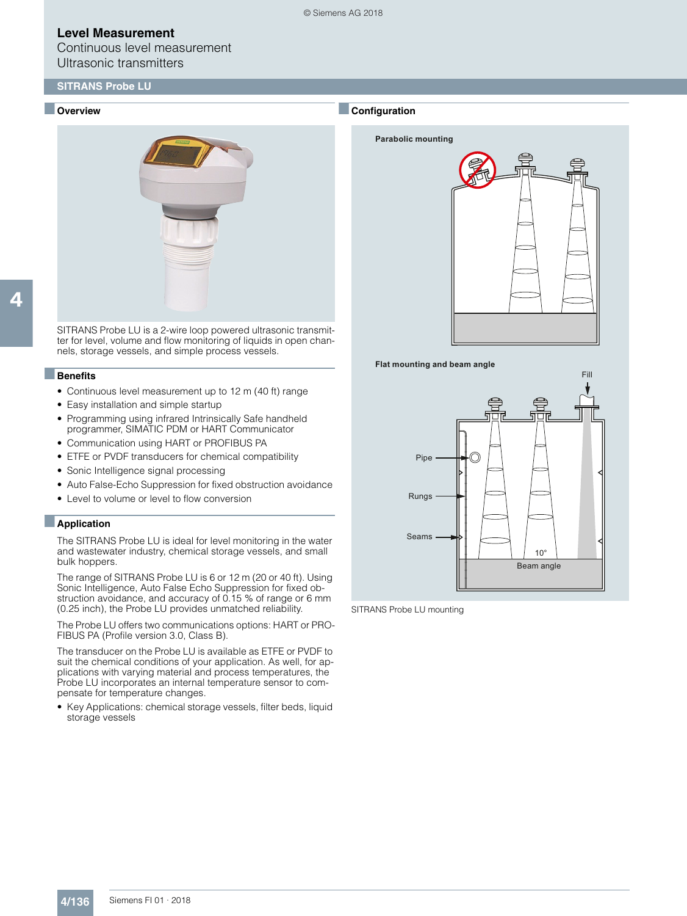Continuous level measurement Ultrasonic transmitters

# **SITRANS Probe LU**

### ■ **Overview**



4

SITRANS Probe LU is a 2-wire loop powered ultrasonic transmitter for level, volume and flow monitoring of liquids in open channels, storage vessels, and simple process vessels.

#### ■**Benefits**

- Continuous level measurement up to 12 m (40 ft) range
- Easy installation and simple startup
- Programming using infrared Intrinsically Safe handheld programmer, SIMATIC PDM or HART Communicator
- Communication using HART or PROFIBUS PA
- ETFE or PVDF transducers for chemical compatibility
- Sonic Intelligence signal processing
- Auto False-Echo Suppression for fixed obstruction avoidance
- Level to volume or level to flow conversion

#### ■**Application**

The SITRANS Probe LU is ideal for level monitoring in the water and wastewater industry, chemical storage vessels, and small bulk hoppers.

The range of SITRANS Probe LU is 6 or 12 m (20 or 40 ft). Using Sonic Intelligence, Auto False Echo Suppression for fixed obstruction avoidance, and accuracy of 0.15 % of range or 6 mm (0.25 inch), the Probe LU provides unmatched reliability.

The Probe LU offers two communications options: HART or PRO-FIBUS PA (Profile version 3.0, Class B).

The transducer on the Probe LU is available as ETFE or PVDF to suit the chemical conditions of your application. As well, for applications with varying material and process temperatures, the Probe LU incorporates an internal temperature sensor to compensate for temperature changes.

• Key Applications: chemical storage vessels, filter beds, liquid storage vessels

#### ■**Configuration**







SITRANS Probe LU mounting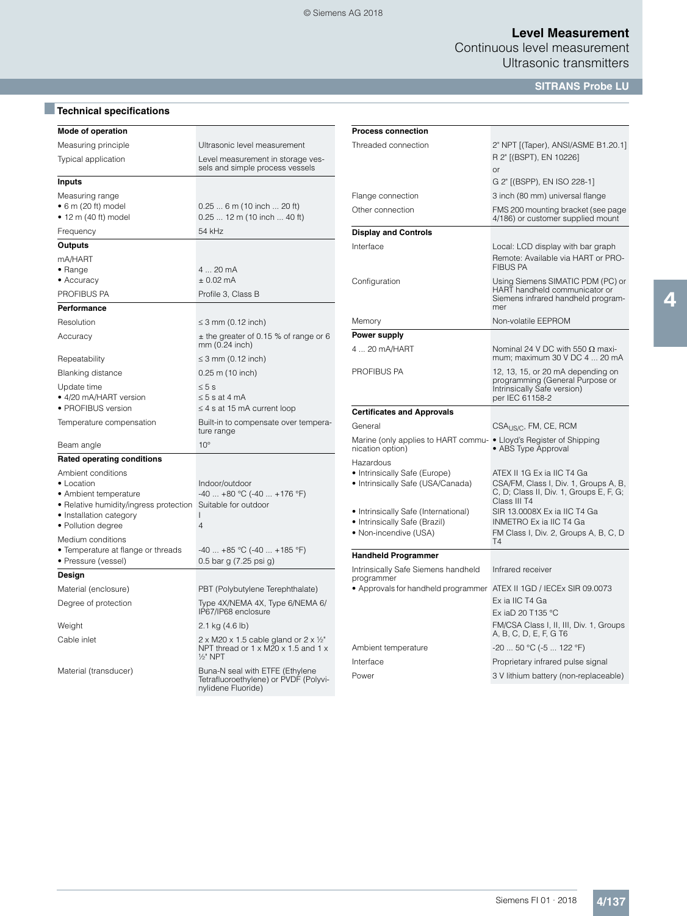Continuous level measurement Ultrasonic transmitters

**SITRANS Probe LU**

# ■**Technical specifications**

| Mode of operation                                                                                                                                    |                                                                                                                 |  |  |  |
|------------------------------------------------------------------------------------------------------------------------------------------------------|-----------------------------------------------------------------------------------------------------------------|--|--|--|
| Measuring principle                                                                                                                                  | Ultrasonic level measurement                                                                                    |  |  |  |
| Typical application                                                                                                                                  | Level measurement in storage ves-<br>sels and simple process vessels                                            |  |  |  |
| <b>Inputs</b>                                                                                                                                        |                                                                                                                 |  |  |  |
| Measuring range<br>$\bullet$ 6 m (20 ft) model<br>• 12 m (40 ft) model                                                                               | $0.256$ m (10 inch  20 ft)<br>$0.2512$ m (10 inch  40 ft)                                                       |  |  |  |
| Frequency                                                                                                                                            | 54 kHz                                                                                                          |  |  |  |
| Outputs                                                                                                                                              |                                                                                                                 |  |  |  |
| mA/HART<br>• Range<br>• Accuracy<br>PROFIBUS PA                                                                                                      | 4  20 mA<br>$± 0.02$ mA<br>Profile 3, Class B                                                                   |  |  |  |
| Performance                                                                                                                                          |                                                                                                                 |  |  |  |
| Resolution                                                                                                                                           | $\leq$ 3 mm (0.12 inch)                                                                                         |  |  |  |
| Accuracy                                                                                                                                             | $\pm$ the greater of 0.15 % of range or 6<br>mm (0.24 inch)                                                     |  |  |  |
| Repeatability                                                                                                                                        | $\leq$ 3 mm (0.12 inch)                                                                                         |  |  |  |
| <b>Blanking distance</b>                                                                                                                             | 0.25 m (10 inch)                                                                                                |  |  |  |
| Update time<br>• 4/20 mA/HART version<br>• PROFIBUS version                                                                                          | $\leq 5$ s<br>$\leq$ 5 s at 4 mA<br>$\leq$ 4 s at 15 mA current loop                                            |  |  |  |
| Temperature compensation                                                                                                                             | Built-in to compensate over tempera-<br>ture range                                                              |  |  |  |
| Beam angle                                                                                                                                           | $10^{\circ}$                                                                                                    |  |  |  |
| <b>Rated operating conditions</b>                                                                                                                    |                                                                                                                 |  |  |  |
| Ambient conditions<br>• Location<br>• Ambient temperature<br>• Relative humidity/ingress protection<br>• Installation category<br>• Pollution degree | Indoor/outdoor<br>$-40+80$ °C ( $-40+176$ °F)<br>Suitable for outdoor<br>4                                      |  |  |  |
| Medium conditions<br>• Temperature at flange or threads<br>• Pressure (vessel)                                                                       | $-40+85$ °C ( $-40+185$ °F)<br>0.5 bar g (7.25 psi g)                                                           |  |  |  |
| Design                                                                                                                                               |                                                                                                                 |  |  |  |
| Material (enclosure)                                                                                                                                 | PBT (Polybutylene Terephthalate)                                                                                |  |  |  |
| Degree of protection                                                                                                                                 | Type 4X/NEMA 4X, Type 6/NEMA 6/<br>IP67/IP68 enclosure                                                          |  |  |  |
| Weight                                                                                                                                               | 2.1 kg (4.6 lb)                                                                                                 |  |  |  |
| Cable inlet                                                                                                                                          | $2 \times M20 \times 1.5$ cable gland or $2 \times 1/2$ "<br>NPT thread or 1 x M20 x 1.5 and 1 x<br>$1/2$ " NPT |  |  |  |
| Material (transducer)                                                                                                                                | Buna-N seal with ETFE (Ethylene<br>Tetrafluoroethylene) or PVDF (Polyvi-<br>nylidene Fluoride)                  |  |  |  |

| <b>Process connection</b>                                             |                                                                                                                                |  |  |  |
|-----------------------------------------------------------------------|--------------------------------------------------------------------------------------------------------------------------------|--|--|--|
| Threaded connection                                                   | 2" NPT [(Taper), ANSI/ASME B1.20.1]<br>R 2" [(BSPT), EN 10226]                                                                 |  |  |  |
|                                                                       | or<br>G 2" [(BSPP), EN ISO 228-1]                                                                                              |  |  |  |
| Flange connection                                                     | 3 inch (80 mm) universal flange                                                                                                |  |  |  |
| Other connection                                                      | FMS 200 mounting bracket (see page<br>4/186) or customer supplied mount                                                        |  |  |  |
| <b>Display and Controls</b>                                           |                                                                                                                                |  |  |  |
| Interface                                                             | Local: LCD display with bar graph<br>Remote: Available via HART or PRO-<br><b>FIBUS PA</b>                                     |  |  |  |
| Configuration                                                         | Using Siemens SIMATIC PDM (PC) or<br>HART handheld communicator or<br>Siemens infrared handheld program-<br>mer                |  |  |  |
| Memory                                                                | Non-volatile EEPROM                                                                                                            |  |  |  |
| <b>Power supply</b>                                                   |                                                                                                                                |  |  |  |
| 4  20 mA/HART                                                         | Nominal 24 V DC with 550 $\Omega$ maxi-<br>mum; maximum 30 V DC 4  20 mA                                                       |  |  |  |
| PROFIBUS PA                                                           | 12, 13, 15, or 20 mA depending on<br>programming (General Purpose or<br>Intrinsically Safe version)<br>per IEC 61158-2         |  |  |  |
| <b>Certificates and Approvals</b>                                     |                                                                                                                                |  |  |  |
| General                                                               | CSA <sub>US/C</sub> , FM, CE, RCM                                                                                              |  |  |  |
| Marine (only applies to HART commu-<br>nication option)               | • Lloyd's Register of Shipping<br>• ABS Type Approval                                                                          |  |  |  |
| Hazardous                                                             |                                                                                                                                |  |  |  |
| • Intrinsically Safe (Europe)<br>• Intrinsically Safe (USA/Canada)    | ATEX II 1G Ex ia IIC T4 Ga<br>CSA/FM, Class I, Div. 1, Groups A, B,<br>C, D; Class II, Div. 1, Groups E, F, G;<br>Class III T4 |  |  |  |
| • Intrinsically Safe (International)<br>• Intrinsically Safe (Brazil) | SIR 13,0008X Ex ia IIC T4 Ga<br><b>INMETRO Ex ia IIC T4 Ga</b>                                                                 |  |  |  |
| · Non-incendive (USA)                                                 | FM Class I, Div. 2, Groups A, B, C, D<br>T4                                                                                    |  |  |  |
| <b>Handheld Programmer</b>                                            |                                                                                                                                |  |  |  |
| Intrinsically Safe Siemens handheld<br>programmer                     | Infrared receiver                                                                                                              |  |  |  |
| • Approvals for handheld programmer                                   | ATEX II 1GD / IECEx SIR 09.0073                                                                                                |  |  |  |
|                                                                       | Ex ia IIC T4 Ga                                                                                                                |  |  |  |
|                                                                       | Ex iaD 20 T135 °C<br>FM/CSA Class I, II, III, Div. 1, Groups<br>A, B, C, D, E, F, G T6                                         |  |  |  |
| Ambient temperature                                                   | -20  50 °C (-5  122 °F)                                                                                                        |  |  |  |
| Interface                                                             | Proprietary infrared pulse signal                                                                                              |  |  |  |

Power 3 V lithium battery (non-replaceable)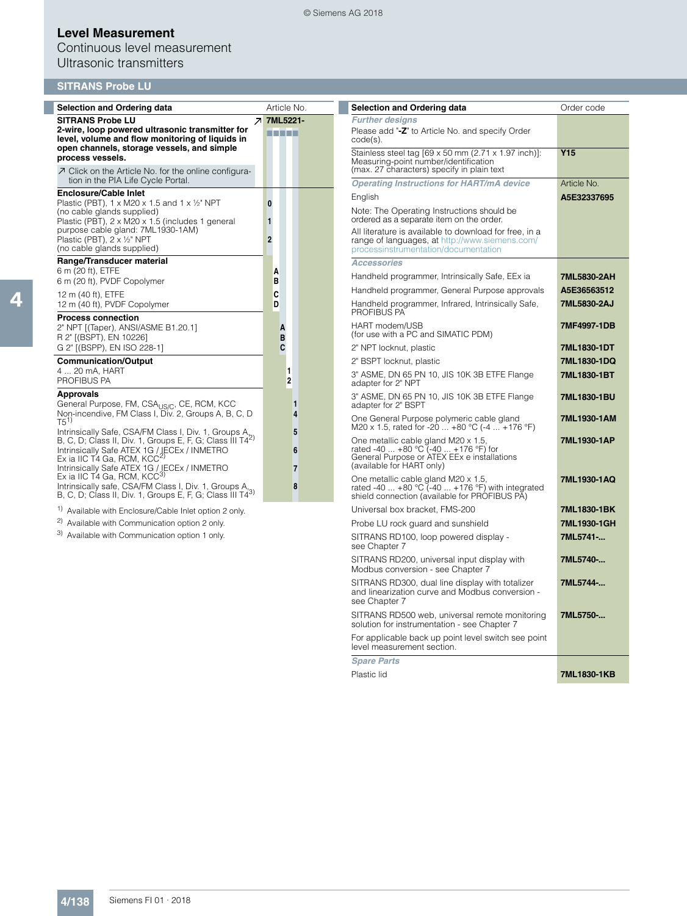*Further designs*

# **Level Measurement**

### Continuous level measurement Ultrasonic transmitters

## **SITRANS Probe LU**

| <b>Selection and Ordering data</b>                                                                                                                                                                                                                                                |                          |                  |                     | Article No. |
|-----------------------------------------------------------------------------------------------------------------------------------------------------------------------------------------------------------------------------------------------------------------------------------|--------------------------|------------------|---------------------|-------------|
| <b>SITRANS Probe LU</b><br>$\overline{\phantom{a}}$<br>2-wire, loop powered ultrasonic transmitter for<br>level, volume and flow monitoring of liquids in<br>open channels, storage vessels, and simple<br>process vessels.                                                       |                          |                  | .                   | 7ML5221-    |
| ○ Click on the Article No. for the online configura-<br>tion in the PIA Life Cycle Portal.                                                                                                                                                                                        |                          |                  |                     |             |
| <b>Enclosure/Cable Inlet</b><br>Plastic (PBT), 1 x M20 x 1.5 and 1 x 1/2" NPT<br>(no cable glands supplied)<br>Plastic (PBT), 2 x M20 x 1.5 (includes 1 general<br>purpose cable gland: 7ML1930-1AM)<br>Plastic (PBT), $2 \times \frac{1}{2}$ " NPT<br>(no cable glands supplied) | 0<br>1<br>$\overline{2}$ |                  |                     |             |
| Range/Transducer material<br>6 m (20 ft), ETFE<br>6 m (20 ft), PVDF Copolymer<br>12 m (40 ft), ETFE<br>12 m (40 ft), PVDF Copolymer                                                                                                                                               |                          | A<br>в<br>C<br>D |                     |             |
| <b>Process connection</b><br>2" NPT [(Taper), ANSI/ASME B1.20.1]<br>R 2" [(BSPT), EN 10226]<br>G 2" [(BSPP), EN ISO 228-1]                                                                                                                                                        |                          |                  | A<br>B<br>C         |             |
| <b>Communication/Output</b><br>4  20 mA, HART<br><b>PROFIBUS PA</b>                                                                                                                                                                                                               |                          |                  | 1<br>$\overline{2}$ |             |
| <b>Approvals</b><br>General Purpose, FM, CSA <sub>US/C</sub> , CE, RCM, KCC<br>Non-incendive, FM Class I, Div. 2, Groups A, B, C, D<br>T5 <sup>1)</sup>                                                                                                                           |                          |                  |                     | 1<br>4      |
| Intrinsically Safe, CSA/FM Class I, Div. 1, Groups A,<br>B, C, D; Class II, Div. 1, Groups E, F, G; Class III T4 <sup>2)</sup><br>Intrinsically Safe ATEX 1G / JECEx / INMETRO<br>Ex ia IIC T4 Ga, RCM, KCC <sup>2)</sup>                                                         |                          |                  |                     | 5<br>6      |
| Intrinsically Safe ATEX 1G / JECEx / INMETRO<br>Ex ia IIC T4 Ga, RCM, KCC <sup>3)</sup><br>Intrinsically safe, CSA/FM Class I, Div. 1, Groups A,<br>B, C, D; Class II, Div. 1, Groups E, F, G; Class III T4 <sup>3)</sup>                                                         |                          |                  |                     | 7<br>8      |

1) Available with Enclosure/Cable Inlet option 2 only.

2) Available with Communication option 2 only.

3) Available with Communication option 1 only.

code(s). Stainless steel tag [69 x 50 mm (2.71 x 1.97 inch)]: Measuring-point number/identification [\(max. 27 characters\) specify in plain text](http://www.siemens.com/processinstrumentation/documentation) **Y15** *Operating Instructions for HART/mA device* Article No. English **A5E32337695** Note: The Operating Instructions should be ordered as a separate item on the order. All literature is available to download for free, in a range of languages, at http://www.siemens.com/<br>processinstrumentation/documentation *Accessories* Handheld programmer, Intrinsically Safe, EEx ia **7ML5830-2AH** Handheld programmer, General Purpose approvals **A5E36563512** Handheld programmer, Infrared, Intrinsically Safe, PROFIBUS PA **7ML5830-2AJ** HART modem/USB (for use with a PC and SIMATIC PDM) **7MF4997-1DB** 2" NPT locknut, plastic **7ML1830-1DT** 2" BSPT locknut, plastic **7ML1830-1DQ** 3" ASME, DN 65 PN 10, JIS 10K 3B ETFE Flange adapter for 2" NPT **7ML1830-1BT** 3" ASME, DN 65 PN 10, JIS 10K 3B ETFE Flange adapter for 2" BSPT **7ML1830-1BU** One General Purpose polymeric cable gland M20 x 1.5, rated for -20 ... +80 °C (-4 ... +176 °F) **7ML1930-1AM** One metallic cable gland M20 x 1.5,<br>rated -40 ... +80 °C (-40 ... +176 °F) for<br>General Purpose or ATEX EEx e installations<br>(available for HART only) **7ML1930-1AP** One metallic cable gland M20 x 1.5, rated -40 ... +80 °C (-40 ... +176 °F) with integrated shield connection (available for PROFIBUS PA) **7ML1930-1AQ** Universal box bracket, FMS-200 **7ML1830-1BK** Probe LU rock guard and sunshield **7ML1930-1GH** SITRANS RD100, loop powered display see Chapter 7 **7ML5741-...** SITRANS RD200, universal input display with Modbus conversion - see Chapter 7 **7ML5740-...** SITRANS RD300, dual line display with totalizer and linearization curve and Modbus conversion see Chapter 7 **7ML5744-...** SITRANS RD500 web, universal remote monitoring solution for instrumentation - see Chapter 7 **7ML5750-...**

**Selection and Ordering data Order code** 

Please add "**-Z**" to Article No. and specify Order

For applicable back up point level switch see point level measurement section.

*Spare Parts*

Plastic lid **7ML1830-1KB**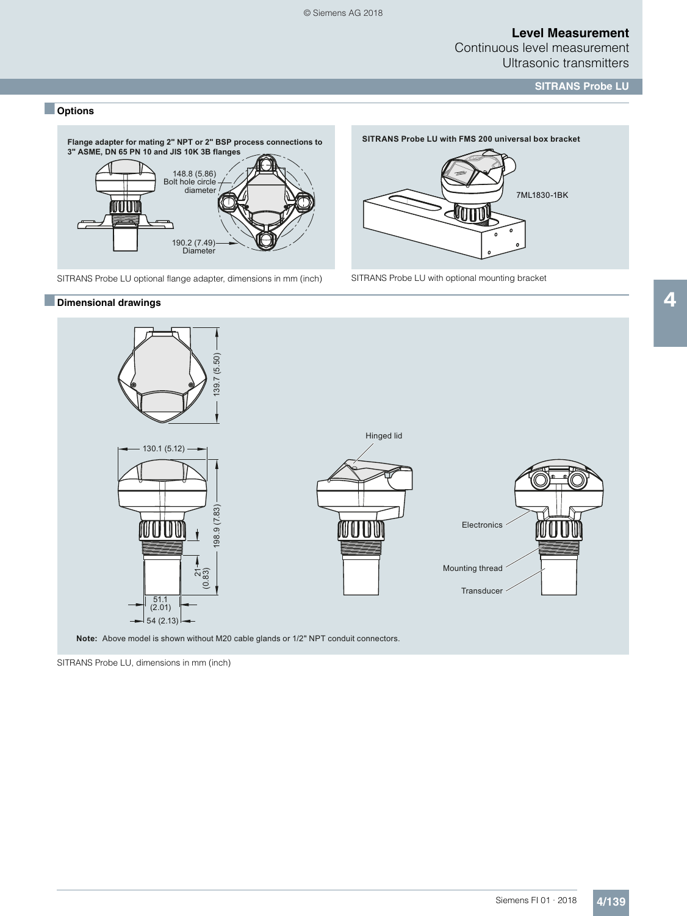Continuous level measurement Ultrasonic transmitters

**SITRANS Probe LU**

### ■ **Options**



SITRANS Probe LU optional flange adapter, dimensions in mm (inch) SITRANS Probe LU with optional mounting bracket

#### ■**Dimensional drawings**





SITRANS Probe LU, dimensions in mm (inch)

4